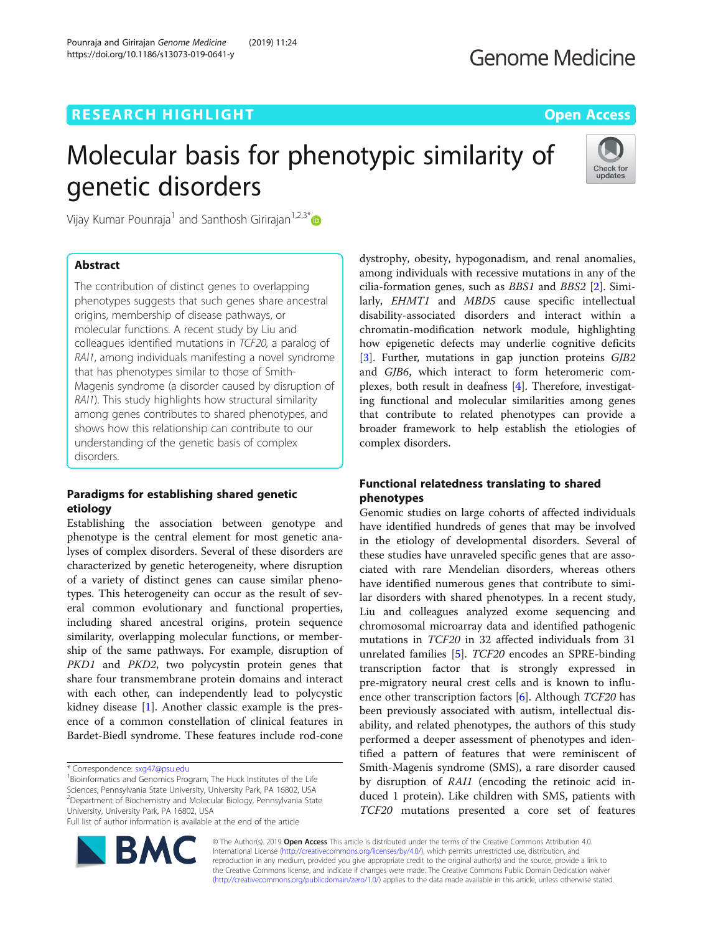# **RESEARCH HIGHLIGHT CONSUMING THE OPEN ACCESS**

# Molecular basis for phenotypic similarity of genetic disorders



Vijay Kumar Pounraja<sup>1</sup> and Santhosh Girirajan<sup>1,2,3\*</sup>

# Abstract

The contribution of distinct genes to overlapping phenotypes suggests that such genes share ancestral origins, membership of disease pathways, or molecular functions. A recent study by Liu and colleagues identified mutations in TCF20, a paralog of RAI1, among individuals manifesting a novel syndrome that has phenotypes similar to those of Smith-Magenis syndrome (a disorder caused by disruption of RAI1). This study highlights how structural similarity among genes contributes to shared phenotypes, and shows how this relationship can contribute to our understanding of the genetic basis of complex disorders.

## Paradigms for establishing shared genetic etiology

Establishing the association between genotype and phenotype is the central element for most genetic analyses of complex disorders. Several of these disorders are characterized by genetic heterogeneity, where disruption of a variety of distinct genes can cause similar phenotypes. This heterogeneity can occur as the result of several common evolutionary and functional properties, including shared ancestral origins, protein sequence similarity, overlapping molecular functions, or membership of the same pathways. For example, disruption of PKD1 and PKD2, two polycystin protein genes that share four transmembrane protein domains and interact with each other, can independently lead to polycystic kidney disease [\[1](#page-2-0)]. Another classic example is the presence of a common constellation of clinical features in Bardet-Biedl syndrome. These features include rod-cone

Full list of author information is available at the end of the article



dystrophy, obesity, hypogonadism, and renal anomalies, among individuals with recessive mutations in any of the cilia-formation genes, such as BBS1 and BBS2 [\[2\]](#page-2-0). Similarly, *EHMT1* and *MBD5* cause specific intellectual disability-associated disorders and interact within a chromatin-modification network module, highlighting how epigenetic defects may underlie cognitive deficits [[3\]](#page-2-0). Further, mutations in gap junction proteins *GJB2* and GJB6, which interact to form heteromeric complexes, both result in deafness [[4\]](#page-2-0). Therefore, investigating functional and molecular similarities among genes that contribute to related phenotypes can provide a broader framework to help establish the etiologies of complex disorders.

# Functional relatedness translating to shared phenotypes

Genomic studies on large cohorts of affected individuals have identified hundreds of genes that may be involved in the etiology of developmental disorders. Several of these studies have unraveled specific genes that are associated with rare Mendelian disorders, whereas others have identified numerous genes that contribute to similar disorders with shared phenotypes. In a recent study, Liu and colleagues analyzed exome sequencing and chromosomal microarray data and identified pathogenic mutations in TCF20 in 32 affected individuals from 31 unrelated families [[5\]](#page-2-0). TCF20 encodes an SPRE-binding transcription factor that is strongly expressed in pre-migratory neural crest cells and is known to influence other transcription factors  $[6]$ . Although *TCF20* has been previously associated with autism, intellectual disability, and related phenotypes, the authors of this study performed a deeper assessment of phenotypes and identified a pattern of features that were reminiscent of Smith-Magenis syndrome (SMS), a rare disorder caused by disruption of RAI1 (encoding the retinoic acid induced 1 protein). Like children with SMS, patients with TCF20 mutations presented a core set of features

© The Author(s). 2019 **Open Access** This article is distributed under the terms of the Creative Commons Attribution 4.0 International License [\(http://creativecommons.org/licenses/by/4.0/](http://creativecommons.org/licenses/by/4.0/)), which permits unrestricted use, distribution, and reproduction in any medium, provided you give appropriate credit to the original author(s) and the source, provide a link to the Creative Commons license, and indicate if changes were made. The Creative Commons Public Domain Dedication waiver [\(http://creativecommons.org/publicdomain/zero/1.0/](http://creativecommons.org/publicdomain/zero/1.0/)) applies to the data made available in this article, unless otherwise stated.

<sup>\*</sup> Correspondence: [sxg47@psu.edu](mailto:sxg47@psu.edu) <sup>1</sup>

<sup>&</sup>lt;sup>1</sup>Bioinformatics and Genomics Program, The Huck Institutes of the Life Sciences, Pennsylvania State University, University Park, PA 16802, USA 2 Department of Biochemistry and Molecular Biology, Pennsylvania State University, University Park, PA 16802, USA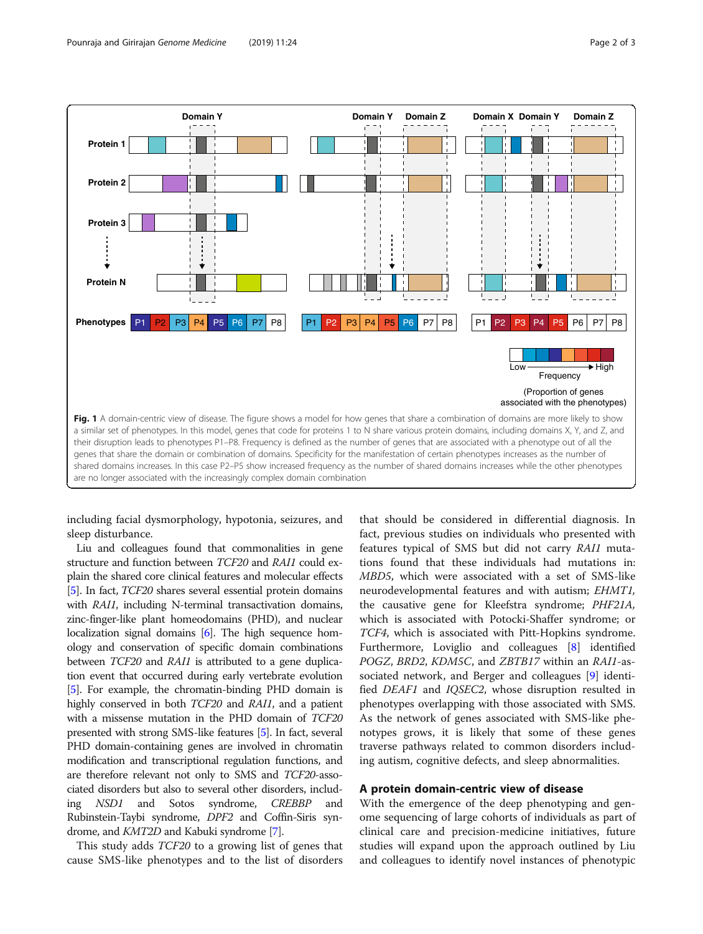

<span id="page-1-0"></span>

including facial dysmorphology, hypotonia, seizures, and sleep disturbance.

Liu and colleagues found that commonalities in gene structure and function between TCF20 and RAI1 could explain the shared core clinical features and molecular effects [[5](#page-2-0)]. In fact, TCF20 shares several essential protein domains with RAI1, including N-terminal transactivation domains, zinc-finger-like plant homeodomains (PHD), and nuclear localization signal domains [\[6\]](#page-2-0). The high sequence homology and conservation of specific domain combinations between *TCF20* and *RAI1* is attributed to a gene duplication event that occurred during early vertebrate evolution [[5](#page-2-0)]. For example, the chromatin-binding PHD domain is highly conserved in both *TCF20* and *RAI1*, and a patient with a missense mutation in the PHD domain of TCF20 presented with strong SMS-like features [\[5\]](#page-2-0). In fact, several PHD domain-containing genes are involved in chromatin modification and transcriptional regulation functions, and are therefore relevant not only to SMS and TCF20-associated disorders but also to several other disorders, including NSD1 and Sotos syndrome, CREBBP and Rubinstein-Taybi syndrome, DPF2 and Coffin-Siris syndrome, and KMT2D and Kabuki syndrome [\[7\]](#page-2-0).

This study adds TCF20 to a growing list of genes that cause SMS-like phenotypes and to the list of disorders

that should be considered in differential diagnosis. In fact, previous studies on individuals who presented with features typical of SMS but did not carry RAI1 mutations found that these individuals had mutations in: MBD5, which were associated with a set of SMS-like neurodevelopmental features and with autism; EHMT1, the causative gene for Kleefstra syndrome; PHF21A, which is associated with Potocki-Shaffer syndrome; or TCF4, which is associated with Pitt-Hopkins syndrome. Furthermore, Loviglio and colleagues [[8\]](#page-2-0) identified POGZ, BRD2, KDM5C, and ZBTB17 within an RAI1-associated network, and Berger and colleagues [[9](#page-2-0)] identified DEAF1 and IQSEC2, whose disruption resulted in phenotypes overlapping with those associated with SMS. As the network of genes associated with SMS-like phenotypes grows, it is likely that some of these genes traverse pathways related to common disorders including autism, cognitive defects, and sleep abnormalities.

### A protein domain-centric view of disease

With the emergence of the deep phenotyping and genome sequencing of large cohorts of individuals as part of clinical care and precision-medicine initiatives, future studies will expand upon the approach outlined by Liu and colleagues to identify novel instances of phenotypic